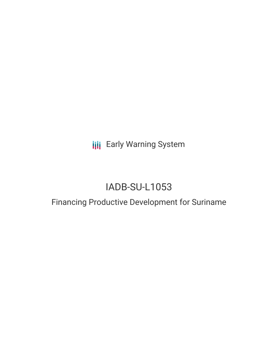**III** Early Warning System

# IADB-SU-L1053

## Financing Productive Development for Suriname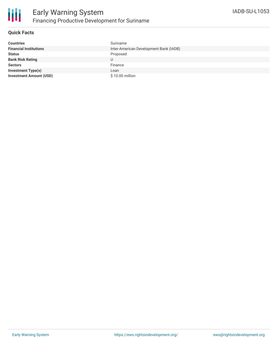

#### **Quick Facts**

| <b>Countries</b>               | Suriname                               |
|--------------------------------|----------------------------------------|
| <b>Financial Institutions</b>  | Inter-American Development Bank (IADB) |
| <b>Status</b>                  | Proposed                               |
| <b>Bank Risk Rating</b>        |                                        |
| <b>Sectors</b>                 | Finance                                |
| <b>Investment Type(s)</b>      | Loan                                   |
| <b>Investment Amount (USD)</b> | \$10.00 million                        |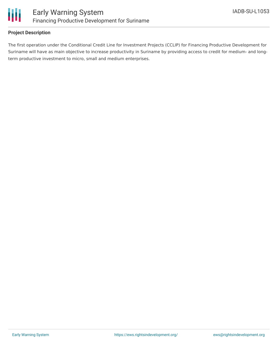

#### **Project Description**

The first operation under the Conditional Credit Line for Investment Projects (CCLIP) for Financing Productive Development for Suriname will have as main objective to increase productivity in Suriname by providing access to credit for medium- and longterm productive investment to micro, small and medium enterprises.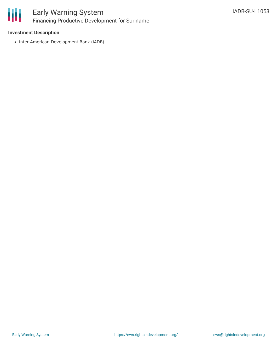

### Early Warning System Financing Productive Development for Suriname

#### **Investment Description**

• Inter-American Development Bank (IADB)